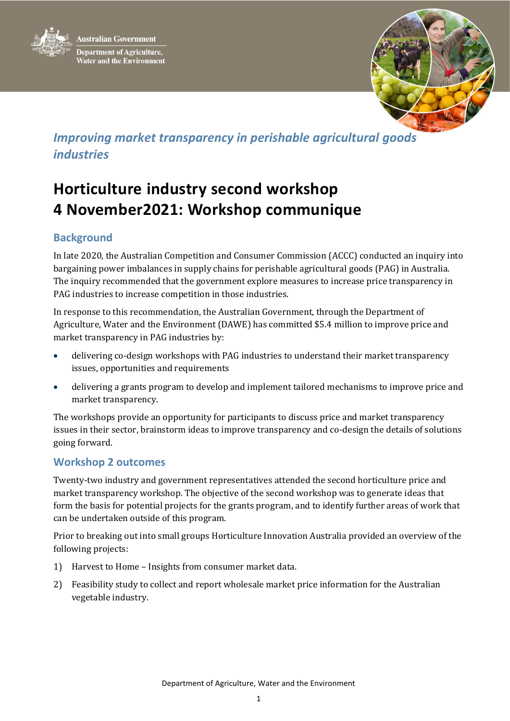



## *Improving market transparency in perishable agricultural goods industries*

# **Horticulture industry second workshop 4 November2021: Workshop communique**

### **Background**

In late 2020, the Australian Competition and Consumer Commission (ACCC) conducted an inquiry into bargaining power imbalances in supply chains for perishable agricultural goods (PAG) in Australia. The inquiry recommended that the government explore measures to increase price transparency in PAG industries to increase competition in those industries.

In response to this recommendation, the Australian Government, through the Department of Agriculture, Water and the Environment (DAWE) has committed \$5.4 million to improve price and market transparency in PAG industries by:

- delivering co-design workshops with PAG industries to understand their market transparency issues, opportunities and requirements
- delivering a grants program to develop and implement tailored mechanisms to improve price and market transparency.

The workshops provide an opportunity for participants to discuss price and market transparency issues in their sector, brainstorm ideas to improve transparency and co-design the details of solutions going forward.

### **Workshop 2 outcomes**

Twenty-two industry and government representatives attended the second horticulture price and market transparency workshop. The objective of the second workshop was to generate ideas that form the basis for potential projects for the grants program, and to identify further areas of work that can be undertaken outside of this program.

Prior to breaking out into small groups Horticulture Innovation Australia provided an overview of the following projects:

- 1) Harvest to Home Insights from consumer market data.
- 2) Feasibility study to collect and report wholesale market price information for the Australian vegetable industry.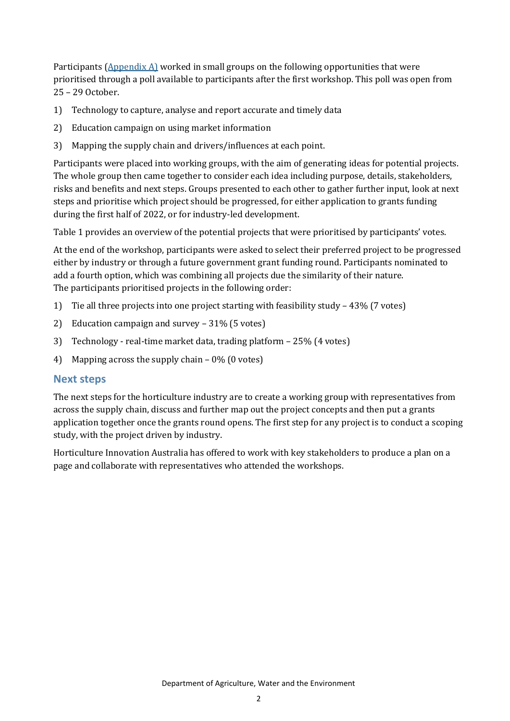Participants (Appendix A) worked in small groups on the following opportunities that were prioritised through a poll available to participants after the first workshop. This poll was open from 25 – 29 October.

- 1) Technology to capture, analyse and report accurate and timely data
- 2) Education campaign on using market information
- 3) Mapping the supply chain and drivers/influences at each point.

Participants were placed into working groups, with the aim of generating ideas for potential projects. The whole group then came together to consider each idea including purpose, details, stakeholders, risks and benefits and next steps. Groups presented to each other to gather further input, look at next steps and prioritise which project should be progressed, for either application to grants funding during the first half of 2022, or for industry-led development.

Table 1 provides an overview of the potential projects that were prioritised by participants' votes.

At the end of the workshop, participants were asked to select their preferred project to be progressed either by industry or through a future government grant funding round. Participants nominated to add a fourth option, which was combining all projects due the similarity of their nature. The participants prioritised projects in the following order:

- 1) Tie all three projects into one project starting with feasibility study 43% (7 votes)
- 2) Education campaign and survey 31% (5 votes)
- 3) Technology real-time market data, trading platform 25% (4 votes)
- 4) Mapping across the supply chain 0% (0 votes)

#### **Next steps**

The next steps for the horticulture industry are to create a working group with representatives from across the supply chain, discuss and further map out the project concepts and then put a grants application together once the grants round opens. The first step for any project is to conduct a scoping study, with the project driven by industry.

Horticulture Innovation Australia has offered to work with key stakeholders to produce a plan on a page and collaborate with representatives who attended the workshops.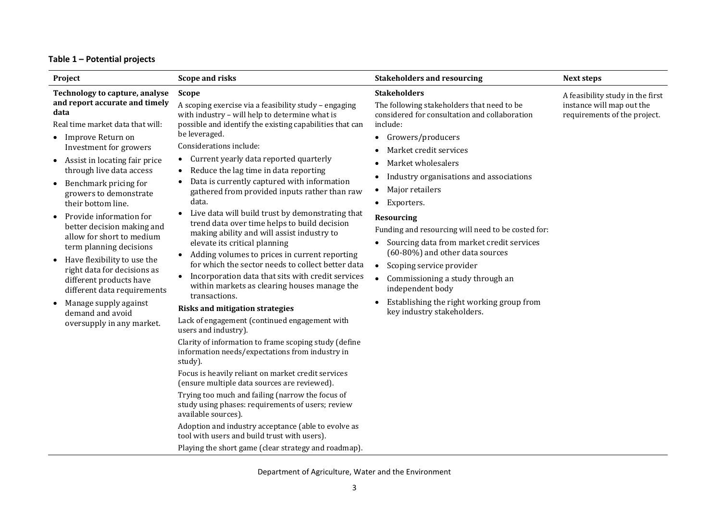#### **Table 1 – Potential projects**

| Project                                                                                                                                                                                                                                                                                                                                                                                                                                                                                                                                                                                                                           | <b>Scope and risks</b>                                                                                                                                                                                                                                                                                                                                                                                                                                                                                                                                                                                                                                                                                                                                                                                                                                                                                                                                                                                                                                                                                                                                                                                                                                                                                                                                                                                                                                                                                              | <b>Stakeholders and resourcing</b>                                                                                                                                                                                                                                                                                                                                                                                                                                                                                                                                                                                                                                                      | Next steps                                                                                    |
|-----------------------------------------------------------------------------------------------------------------------------------------------------------------------------------------------------------------------------------------------------------------------------------------------------------------------------------------------------------------------------------------------------------------------------------------------------------------------------------------------------------------------------------------------------------------------------------------------------------------------------------|---------------------------------------------------------------------------------------------------------------------------------------------------------------------------------------------------------------------------------------------------------------------------------------------------------------------------------------------------------------------------------------------------------------------------------------------------------------------------------------------------------------------------------------------------------------------------------------------------------------------------------------------------------------------------------------------------------------------------------------------------------------------------------------------------------------------------------------------------------------------------------------------------------------------------------------------------------------------------------------------------------------------------------------------------------------------------------------------------------------------------------------------------------------------------------------------------------------------------------------------------------------------------------------------------------------------------------------------------------------------------------------------------------------------------------------------------------------------------------------------------------------------|-----------------------------------------------------------------------------------------------------------------------------------------------------------------------------------------------------------------------------------------------------------------------------------------------------------------------------------------------------------------------------------------------------------------------------------------------------------------------------------------------------------------------------------------------------------------------------------------------------------------------------------------------------------------------------------------|-----------------------------------------------------------------------------------------------|
| Technology to capture, analyse<br>and report accurate and timely<br>data<br>Real time market data that will:<br>Improve Return on<br>Investment for growers<br>Assist in locating fair price<br>$\bullet$<br>through live data access<br>Benchmark pricing for<br>growers to demonstrate<br>their bottom line.<br>Provide information for<br>better decision making and<br>allow for short to medium<br>term planning decisions<br>Have flexibility to use the<br>right data for decisions as<br>different products have<br>different data requirements<br>Manage supply against<br>demand and avoid<br>oversupply in any market. | <b>Scope</b><br>A scoping exercise via a feasibility study - engaging<br>with industry - will help to determine what is<br>possible and identify the existing capabilities that can<br>be leveraged.<br>Considerations include:<br>Current yearly data reported quarterly<br>$\bullet$<br>Reduce the lag time in data reporting<br>$\bullet$<br>Data is currently captured with information<br>gathered from provided inputs rather than raw<br>data.<br>Live data will build trust by demonstrating that<br>trend data over time helps to build decision<br>making ability and will assist industry to<br>elevate its critical planning<br>Adding volumes to prices in current reporting<br>for which the sector needs to collect better data<br>Incorporation data that sits with credit services<br>within markets as clearing houses manage the<br>transactions.<br><b>Risks and mitigation strategies</b><br>Lack of engagement (continued engagement with<br>users and industry).<br>Clarity of information to frame scoping study (define<br>information needs/expectations from industry in<br>study).<br>Focus is heavily reliant on market credit services<br>(ensure multiple data sources are reviewed).<br>Trying too much and failing (narrow the focus of<br>study using phases: requirements of users; review<br>available sources).<br>Adoption and industry acceptance (able to evolve as<br>tool with users and build trust with users).<br>Playing the short game (clear strategy and roadmap). | <b>Stakeholders</b><br>The following stakeholders that need to be<br>considered for consultation and collaboration<br>include:<br>Growers/producers<br>$\bullet$<br>Market credit services<br>Market wholesalers<br>$\bullet$<br>Industry organisations and associations<br>Major retailers<br>$\bullet$<br>Exporters.<br>$\bullet$<br><b>Resourcing</b><br>Funding and resourcing will need to be costed for:<br>Sourcing data from market credit services<br>$\bullet$<br>(60-80%) and other data sources<br>Scoping service provider<br>$\bullet$<br>Commissioning a study through an<br>independent body<br>Establishing the right working group from<br>key industry stakeholders. | A feasibility study in the first<br>instance will map out the<br>requirements of the project. |

Department of Agriculture, Water and the Environment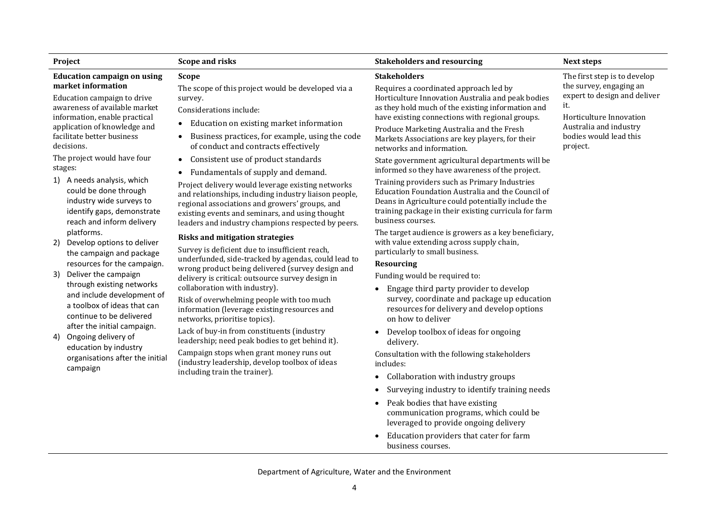|                                                                                                                                                                                                                                                                                                                                                                                                                                                                                                                                                                                                                                                                                                                                                                                                                                                      |                                                                                                                                                                                                                                                                                                                                                                                                                                                                                                                                                                                                                                                                                                                                                                                                                                                                                                                                                                                                                                                                                     | <b>Stakeholders and resourcing</b>                                                                                                                                                                                                                                                                                                                                                                                                                                                                                                                                                                                                                                                                                                                                                                             | <b>Next steps</b>                                                                                                                                                                         |
|------------------------------------------------------------------------------------------------------------------------------------------------------------------------------------------------------------------------------------------------------------------------------------------------------------------------------------------------------------------------------------------------------------------------------------------------------------------------------------------------------------------------------------------------------------------------------------------------------------------------------------------------------------------------------------------------------------------------------------------------------------------------------------------------------------------------------------------------------|-------------------------------------------------------------------------------------------------------------------------------------------------------------------------------------------------------------------------------------------------------------------------------------------------------------------------------------------------------------------------------------------------------------------------------------------------------------------------------------------------------------------------------------------------------------------------------------------------------------------------------------------------------------------------------------------------------------------------------------------------------------------------------------------------------------------------------------------------------------------------------------------------------------------------------------------------------------------------------------------------------------------------------------------------------------------------------------|----------------------------------------------------------------------------------------------------------------------------------------------------------------------------------------------------------------------------------------------------------------------------------------------------------------------------------------------------------------------------------------------------------------------------------------------------------------------------------------------------------------------------------------------------------------------------------------------------------------------------------------------------------------------------------------------------------------------------------------------------------------------------------------------------------------|-------------------------------------------------------------------------------------------------------------------------------------------------------------------------------------------|
| <b>Project</b><br><b>Education campaign on using</b><br>market information<br>Education campaign to drive<br>awareness of available market<br>information, enable practical<br>application of knowledge and<br>facilitate better business<br>decisions.<br>The project would have four<br>stages:<br>1) A needs analysis, which<br>could be done through<br>industry wide surveys to<br>identify gaps, demonstrate<br>reach and inform delivery<br>platforms.<br>Develop options to deliver<br>2)<br>the campaign and package<br>resources for the campaign.<br>Deliver the campaign<br>3)<br>through existing networks<br>and include development of<br>a toolbox of ideas that can<br>continue to be delivered<br>after the initial campaign.<br>Ongoing delivery of<br>4)<br>education by industry<br>organisations after the initial<br>campaign | <b>Scope and risks</b><br><b>Scope</b><br>The scope of this project would be developed via a<br>survey.<br>Considerations include:<br>Education on existing market information<br>$\bullet$<br>Business practices, for example, using the code<br>of conduct and contracts effectively<br>Consistent use of product standards<br>$\bullet$<br>Fundamentals of supply and demand.<br>Project delivery would leverage existing networks<br>and relationships, including industry liaison people,<br>regional associations and growers' groups, and<br>existing events and seminars, and using thought<br>leaders and industry champions respected by peers.<br><b>Risks and mitigation strategies</b><br>Survey is deficient due to insufficient reach,<br>underfunded, side-tracked by agendas, could lead to<br>wrong product being delivered (survey design and<br>delivery is critical: outsource survey design in<br>collaboration with industry).<br>Risk of overwhelming people with too much<br>information (leverage existing resources and<br>networks, prioritise topics). | <b>Stakeholders</b><br>Requires a coordinated approach led by<br>Horticulture Innovation Australia and peak bodies<br>as they hold much of the existing information and<br>have existing connections with regional groups.<br>Produce Marketing Australia and the Fresh<br>Markets Associations are key players, for their<br>networks and information.<br>State government agricultural departments will be<br>informed so they have awareness of the project.<br>Training providers such as Primary Industries<br>Education Foundation Australia and the Council of<br>Deans in Agriculture could potentially include the<br>training package in their existing curricula for farm<br>business courses.<br>The target audience is growers as a key beneficiary,<br>with value extending across supply chain, | The first step is to develop<br>the survey, engaging an<br>expert to design and deliver<br>it.<br>Horticulture Innovation<br>Australia and industry<br>bodies would lead this<br>project. |
|                                                                                                                                                                                                                                                                                                                                                                                                                                                                                                                                                                                                                                                                                                                                                                                                                                                      |                                                                                                                                                                                                                                                                                                                                                                                                                                                                                                                                                                                                                                                                                                                                                                                                                                                                                                                                                                                                                                                                                     | particularly to small business.<br><b>Resourcing</b><br>Funding would be required to:<br>Engage third party provider to develop<br>survey, coordinate and package up education<br>resources for delivery and develop options<br>on how to deliver                                                                                                                                                                                                                                                                                                                                                                                                                                                                                                                                                              |                                                                                                                                                                                           |
|                                                                                                                                                                                                                                                                                                                                                                                                                                                                                                                                                                                                                                                                                                                                                                                                                                                      | Lack of buy-in from constituents (industry<br>leadership; need peak bodies to get behind it).<br>Campaign stops when grant money runs out<br>(industry leadership, develop toolbox of ideas<br>including train the trainer).                                                                                                                                                                                                                                                                                                                                                                                                                                                                                                                                                                                                                                                                                                                                                                                                                                                        | Develop toolbox of ideas for ongoing<br>delivery.<br>Consultation with the following stakeholders<br>includes:<br>Collaboration with industry groups<br>Surveying industry to identify training needs<br>Peak bodies that have existing<br>communication programs, which could be<br>leveraged to provide ongoing delivery<br>Education providers that cater for farm<br>business courses.                                                                                                                                                                                                                                                                                                                                                                                                                     |                                                                                                                                                                                           |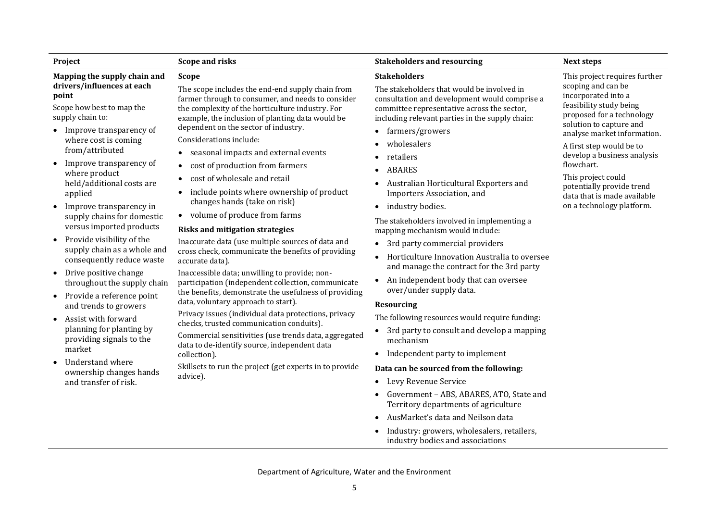Department of Agriculture, Water and the Environment